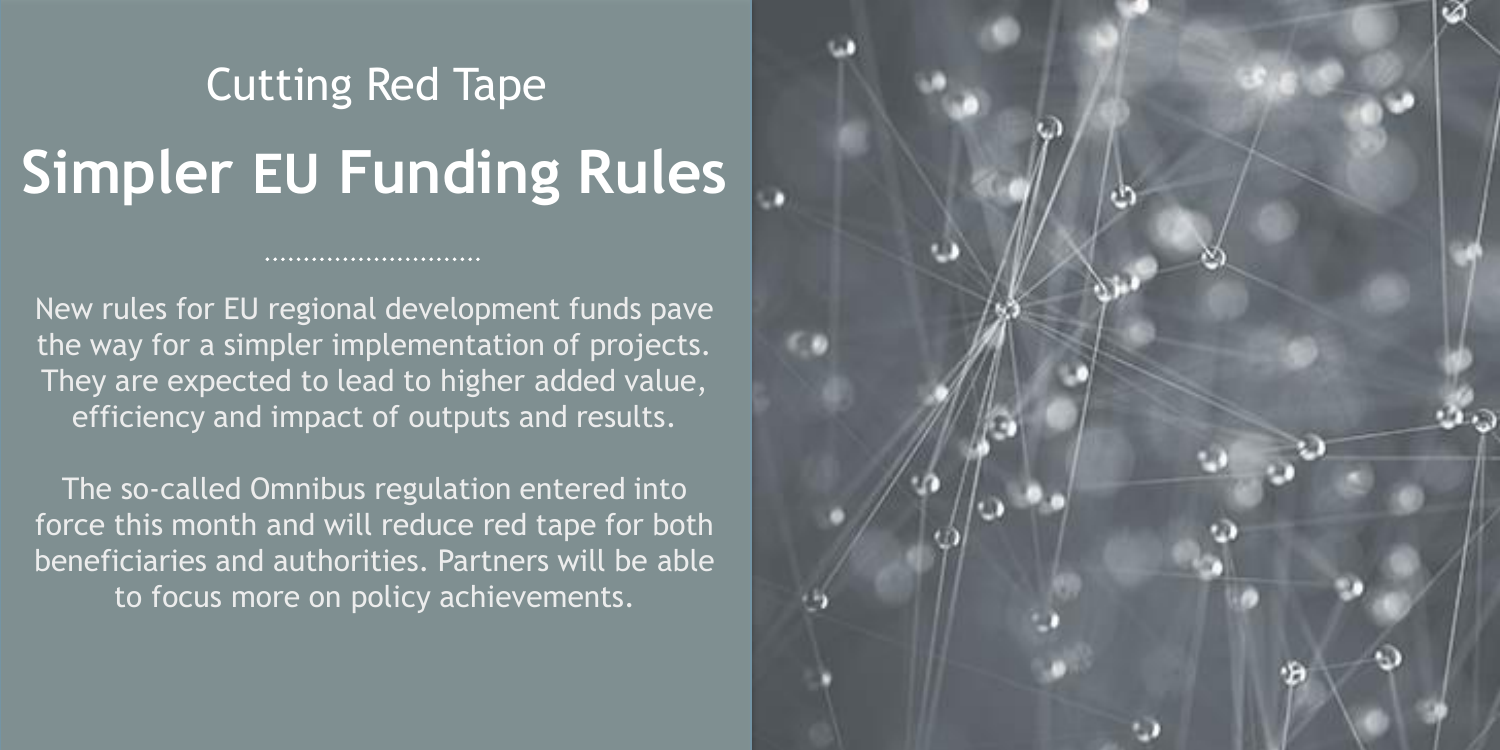## **Simpler EU Funding Rules** Cutting Red Tape

New rules for EU regional development funds pave the way for a simpler implementation of projects. They are expected to lead to higher added value, efficiency and impact of outputs and results.

...........................

The so-called Omnibus regulation entered into force this month and will reduce red tape for both beneficiaries and authorities. Partners will be able to focus more on policy achievements.

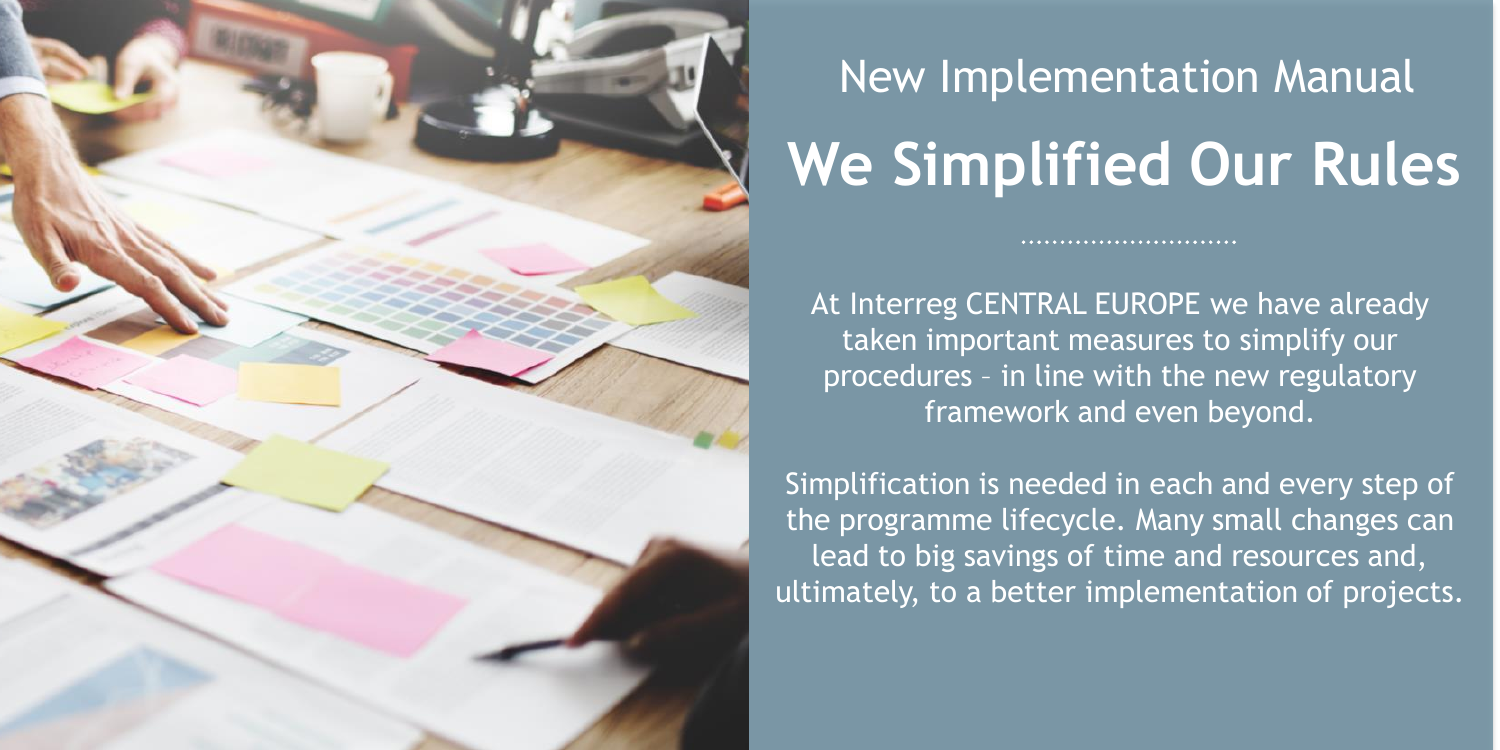

## New Implementation Manual **We Simplified Our Rules**

At Interreg CENTRAL EUROPE we have already taken important measures to simplify our procedures - in line with the new regulatory framework and even beyond.

Simplification is needed in each and every step of the programme lifecycle. Many small changes can lead to big savings of time and resources and, ultimately, to a better implementation of projects.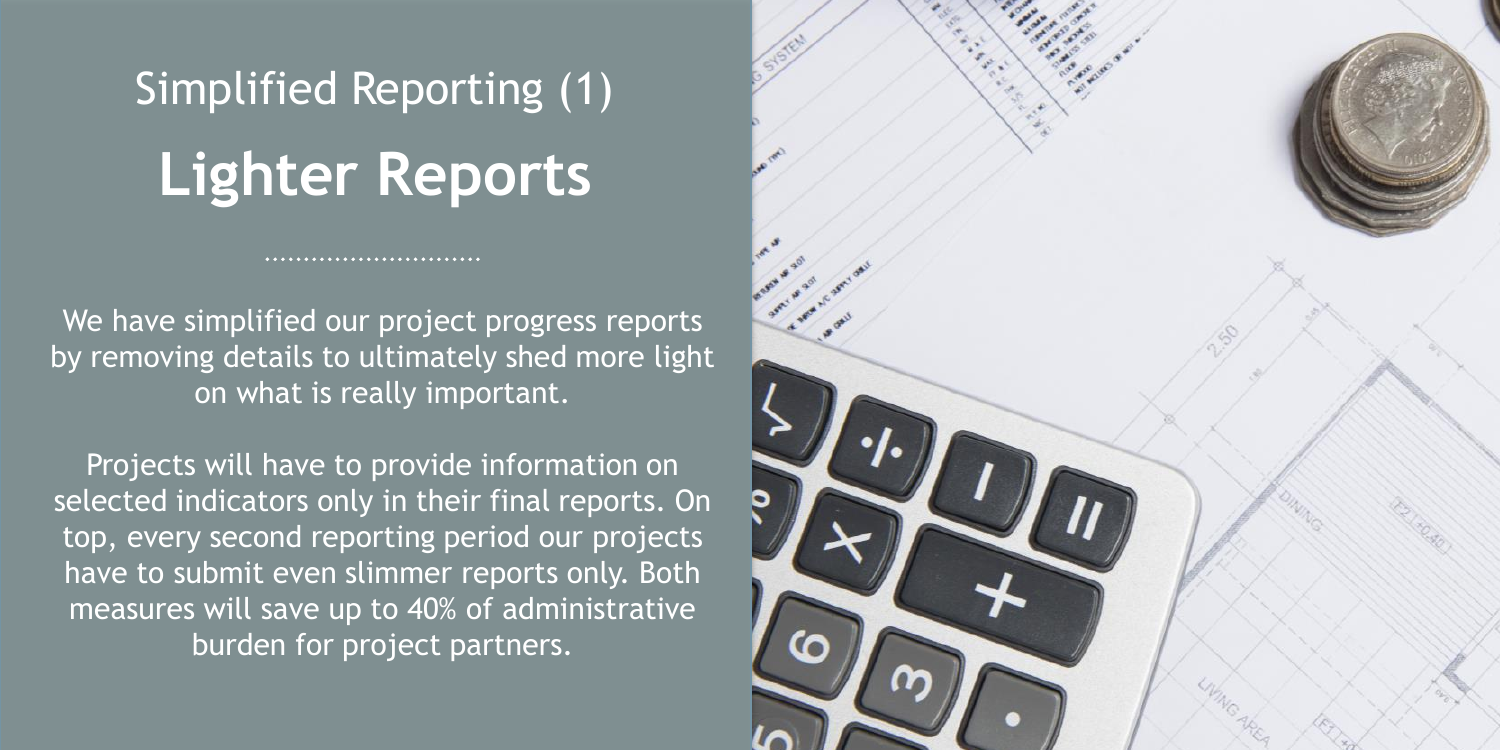## **Lighter Reports** Simplified Reporting (1)

...........................

We have simplified our project progress reports by removing details to ultimately shed more light on what is really important.

Projects will have to provide information on selected indicators only in their final reports. On top, every second reporting period our projects have to submit even slimmer reports only. Both measures will save up to 40% of administrative burden for project partners.